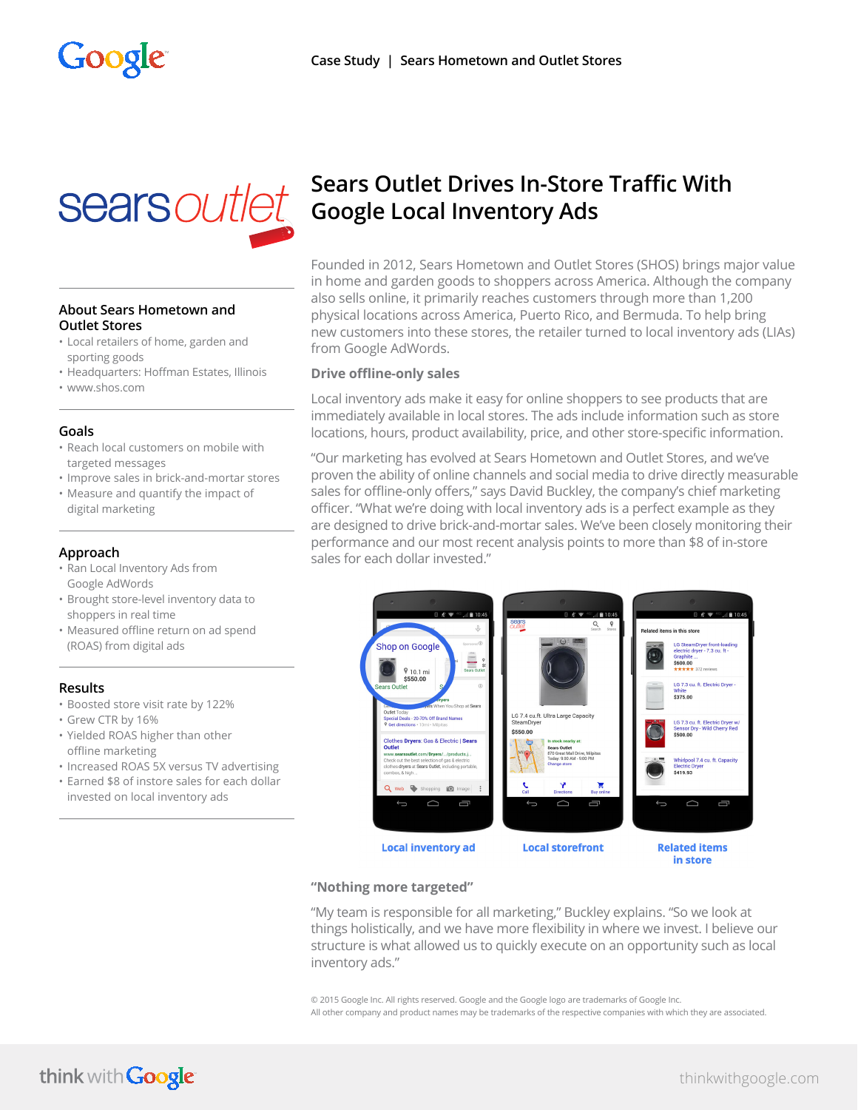

#### **About Sears Hometown and Outlet Stores**

- Local retailers of home, garden and sporting goods
- Headquarters: Hoffman Estates, Illinois
- www.shos.com

#### **Goals**

- Reach local customers on mobile with targeted messages
- Improve sales in brick-and-mortar stores
- Measure and quantify the impact of digital marketing

### **Approach**

- Ran Local Inventory Ads from Google AdWords
- Brought store-level inventory data to shoppers in real time
- Measured offline return on ad spend (ROAS) from digital ads

#### **Results**

- Boosted store visit rate by 122%
- Grew CTR by 16%
- Yielded ROAS higher than other offline marketing
- Increased ROAS 5X versus TV advertising
- Earned \$8 of instore sales for each dollar invested on local inventory ads

# **Sears Outlet Drives In-Store Traffic With Google Local Inventory Ads**

Founded in 2012, Sears Hometown and Outlet Stores (SHOS) brings major value in home and garden goods to shoppers across America. Although the company also sells online, it primarily reaches customers through more than 1,200 physical locations across America, Puerto Rico, and Bermuda. To help bring new customers into these stores, the retailer turned to local inventory ads (LIAs) from Google AdWords.

#### **Drive offline-only sales**

Local inventory ads make it easy for online shoppers to see products that are immediately available in local stores. The ads include information such as store locations, hours, product availability, price, and other store-specific information.

"Our marketing has evolved at Sears Hometown and Outlet Stores, and we've proven the ability of online channels and social media to drive directly measurable sales for offline-only offers," says David Buckley, the company's chief marketing officer. "What we're doing with local inventory ads is a perfect example as they are designed to drive brick-and-mortar sales. We've been closely monitoring their performance and our most recent analysis points to more than \$8 of in-store sales for each dollar invested."



#### **"Nothing more targeted"**

"My team is responsible for all marketing," Buckley explains. "So we look at things holistically, and we have more flexibility in where we invest. I believe our structure is what allowed us to quickly execute on an opportunity such as local inventory ads."

© 2015 Google Inc. All rights reserved. Google and the Google logo are trademarks of Google Inc. All other company and product names may be trademarks of the respective companies with which they are associated.

# think with Google